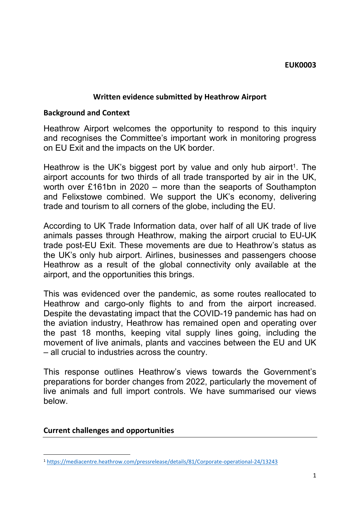#### **EUK0003**

### **Written evidence submitted by Heathrow Airport**

#### **Background and Context**

Heathrow Airport welcomes the opportunity to respond to this inquiry and recognises the Committee's important work in monitoring progress on EU Exit and the impacts on the UK border.

Heathrow is the UK's biggest port by value and only hub airport<sup>1</sup>. The airport accounts for two thirds of all trade transported by air in the UK, worth over £161bn in 2020 – more than the seaports of Southampton and Felixstowe combined. We support the UK's economy, delivering trade and tourism to all corners of the globe, including the EU.

According to UK Trade Information data, over half of all UK trade of live animals passes through Heathrow, making the airport crucial to EU-UK trade post-EU Exit. These movements are due to Heathrow's status as the UK's only hub airport. Airlines, businesses and passengers choose Heathrow as a result of the global connectivity only available at the airport, and the opportunities this brings.

This was evidenced over the pandemic, as some routes reallocated to Heathrow and cargo-only flights to and from the airport increased. Despite the devastating impact that the COVID-19 pandemic has had on the aviation industry, Heathrow has remained open and operating over the past 18 months, keeping vital supply lines going, including the movement of live animals, plants and vaccines between the EU and UK – all crucial to industries across the country.

This response outlines Heathrow's views towards the Government's preparations for border changes from 2022, particularly the movement of live animals and full import controls. We have summarised our views below.

#### **Current challenges and opportunities**

<sup>1</sup> <https://mediacentre.heathrow.com/pressrelease/details/81/Corporate-operational-24/13243>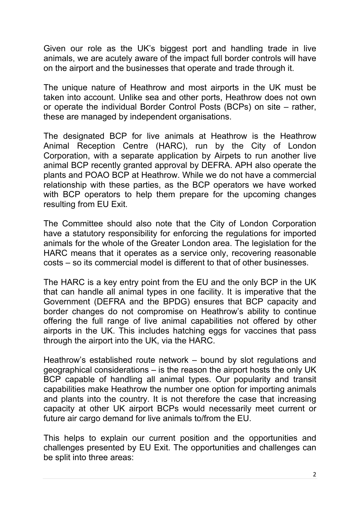Given our role as the UK's biggest port and handling trade in live animals, we are acutely aware of the impact full border controls will have on the airport and the businesses that operate and trade through it.

The unique nature of Heathrow and most airports in the UK must be taken into account. Unlike sea and other ports, Heathrow does not own or operate the individual Border Control Posts (BCPs) on site – rather, these are managed by independent organisations.

The designated BCP for live animals at Heathrow is the Heathrow Animal Reception Centre (HARC), run by the City of London Corporation, with a separate application by Airpets to run another live animal BCP recently granted approval by DEFRA. APH also operate the plants and POAO BCP at Heathrow. While we do not have a commercial relationship with these parties, as the BCP operators we have worked with BCP operators to help them prepare for the upcoming changes resulting from EU Exit.

The Committee should also note that the City of London Corporation have a statutory responsibility for enforcing the regulations for imported animals for the whole of the Greater London area. The legislation for the HARC means that it operates as a service only, recovering reasonable costs – so its commercial model is different to that of other businesses.

The HARC is a key entry point from the EU and the only BCP in the UK that can handle all animal types in one facility. It is imperative that the Government (DEFRA and the BPDG) ensures that BCP capacity and border changes do not compromise on Heathrow's ability to continue offering the full range of live animal capabilities not offered by other airports in the UK. This includes hatching eggs for vaccines that pass through the airport into the UK, via the HARC.

Heathrow's established route network – bound by slot regulations and geographical considerations – is the reason the airport hosts the only UK BCP capable of handling all animal types. Our popularity and transit capabilities make Heathrow the number one option for importing animals and plants into the country. It is not therefore the case that increasing capacity at other UK airport BCPs would necessarily meet current or future air cargo demand for live animals to/from the EU.

This helps to explain our current position and the opportunities and challenges presented by EU Exit. The opportunities and challenges can be split into three areas: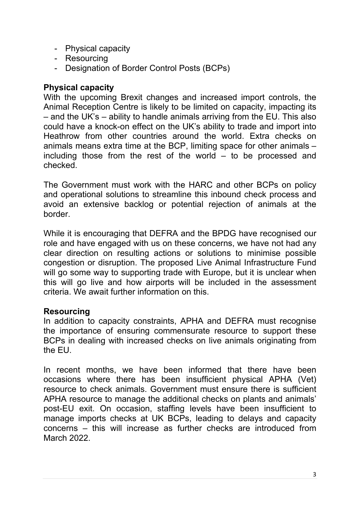- Physical capacity
- Resourcing
- Designation of Border Control Posts (BCPs)

# **Physical capacity**

With the upcoming Brexit changes and increased import controls, the Animal Reception Centre is likely to be limited on capacity, impacting its – and the UK's – ability to handle animals arriving from the EU. This also could have a knock-on effect on the UK's ability to trade and import into Heathrow from other countries around the world. Extra checks on animals means extra time at the BCP, limiting space for other animals – including those from the rest of the world – to be processed and checked.

The Government must work with the HARC and other BCPs on policy and operational solutions to streamline this inbound check process and avoid an extensive backlog or potential rejection of animals at the border.

While it is encouraging that DEFRA and the BPDG have recognised our role and have engaged with us on these concerns, we have not had any clear direction on resulting actions or solutions to minimise possible congestion or disruption. The proposed Live Animal Infrastructure Fund will go some way to supporting trade with Europe, but it is unclear when this will go live and how airports will be included in the assessment criteria. We await further information on this.

# **Resourcing**

In addition to capacity constraints, APHA and DEFRA must recognise the importance of ensuring commensurate resource to support these BCPs in dealing with increased checks on live animals originating from the EU.

In recent months, we have been informed that there have been occasions where there has been insufficient physical APHA (Vet) resource to check animals. Government must ensure there is sufficient APHA resource to manage the additional checks on plants and animals' post-EU exit. On occasion, staffing levels have been insufficient to manage imports checks at UK BCPs, leading to delays and capacity concerns – this will increase as further checks are introduced from March 2022.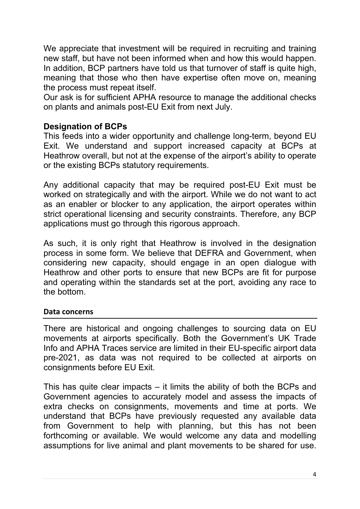We appreciate that investment will be required in recruiting and training new staff, but have not been informed when and how this would happen. In addition, BCP partners have told us that turnover of staff is quite high, meaning that those who then have expertise often move on, meaning the process must repeat itself.

Our ask is for sufficient APHA resource to manage the additional checks on plants and animals post-EU Exit from next July.

### **Designation of BCPs**

This feeds into a wider opportunity and challenge long-term, beyond EU Exit. We understand and support increased capacity at BCPs at Heathrow overall, but not at the expense of the airport's ability to operate or the existing BCPs statutory requirements.

Any additional capacity that may be required post-EU Exit must be worked on strategically and with the airport. While we do not want to act as an enabler or blocker to any application, the airport operates within strict operational licensing and security constraints. Therefore, any BCP applications must go through this rigorous approach.

As such, it is only right that Heathrow is involved in the designation process in some form. We believe that DEFRA and Government, when considering new capacity, should engage in an open dialogue with Heathrow and other ports to ensure that new BCPs are fit for purpose and operating within the standards set at the port, avoiding any race to the bottom.

### **Data concerns**

There are historical and ongoing challenges to sourcing data on EU movements at airports specifically. Both the Government's UK Trade Info and APHA Traces service are limited in their EU-specific airport data pre-2021, as data was not required to be collected at airports on consignments before EU Exit.

This has quite clear impacts – it limits the ability of both the BCPs and Government agencies to accurately model and assess the impacts of extra checks on consignments, movements and time at ports. We understand that BCPs have previously requested any available data from Government to help with planning, but this has not been forthcoming or available. We would welcome any data and modelling assumptions for live animal and plant movements to be shared for use.